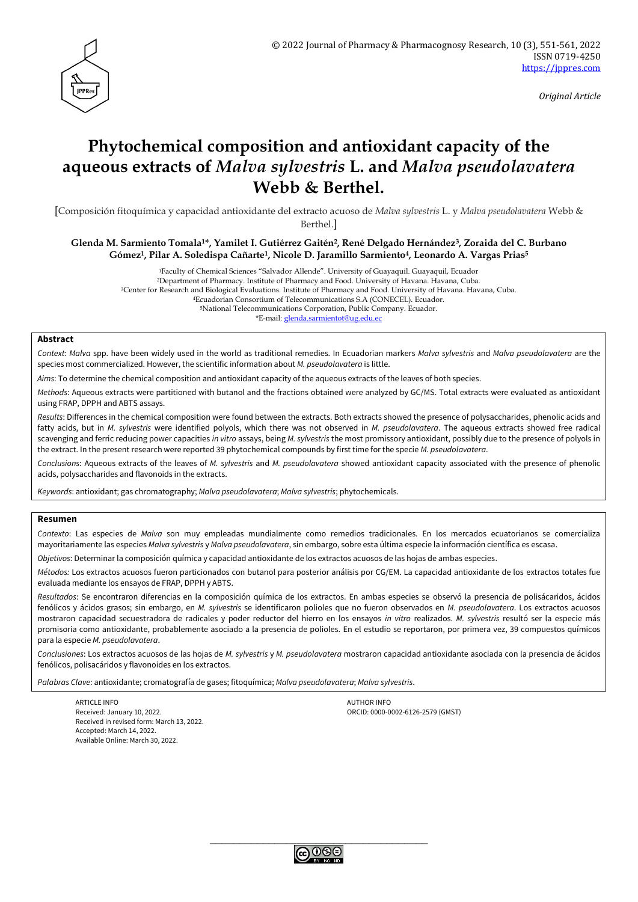

*Original Article*

# **Phytochemical composition and antioxidant capacity of the aqueous extracts of** *Malva sylvestris* **L. and** *Malva pseudolavatera* **Webb & Berthel.**

[Composición fitoquímica y capacidad antioxidante del extracto acuoso de *Malva sylvestris* L. y *Malva pseudolavatera* Webb & Berthel.]

**Glenda M. Sarmiento Tomala1\*, Yamilet I. Gutiérrez Gaitén2, René Delgado Hernández3, Zoraida del C. Burbano Gómez1, Pilar A. Soledispa Cañarte1, Nicole D. Jaramillo Sarmiento4, Leonardo A. Vargas Prias<sup>5</sup>**

> Faculty of Chemical Sciences "Salvador Allende". University of Guayaquil. Guayaquil, Ecuador Department of Pharmacy. Institute of Pharmacy and Food. University of Havana. Havana, Cuba. Center for Research and Biological Evaluations. Institute of Pharmacy and Food. University of Havana. Havana, Cuba. Ecuadorian Consortium of Telecommunications S.A (CONECEL). Ecuador. National Telecommunications Corporation, Public Company. Ecuador. \*E-mail: [glenda.sarmientot@ug.edu.ec](mailto:glenda.sarmientot@ug.edu.ec)

#### **Abstract**

*Context*: *Malva* spp. have been widely used in the world as traditional remedies. In Ecuadorian markers *Malva sylvestris* and *Malva pseudolavatera* are the species most commercialized. However, the scientific information about *M. pseudolavatera* is little.

*Aims*: To determine the chemical composition and antioxidant capacity of the aqueous extracts of the leaves of both species.

*Methods*: Aqueous extracts were partitioned with butanol and the fractions obtained were analyzed by GC/MS. Total extracts were evaluated as antioxidant using FRAP, DPPH and ABTS assays.

*Results*: Differences in the chemical composition were found between the extracts. Both extracts showed the presence of polysaccharides, phenolic acids and fatty acids, but in *M. sylvestris* were identified polyols, which there was not observed in *M. pseudolavatera*. The aqueous extracts showed free radical scavenging and ferric reducing power capacities *in vitro* assays, being *M. sylvestris* the most promissory antioxidant, possibly due to the presence of polyols in the extract. In the present research were reported 39 phytochemical compounds by first time for the specie *M. pseudolavatera*.

*Conclusions*: Aqueous extracts of the leaves of *M. sylvestris* and *M. pseudolavatera* showed antioxidant capacity associated with the presence of phenolic acids, polysaccharides and flavonoids in the extracts.

*Keywords*: antioxidant; gas chromatography; *Malva pseudolavatera*; *Malva sylvestris*; phytochemicals.

#### **Resumen**

*Contexto*: Las especies de *Malva* son muy empleadas mundialmente como remedios tradicionales. En los mercados ecuatorianos se comercializa mayoritariamente las especies *Malva sylvestris* y *Malva pseudolavatera*, sin embargo, sobre esta última especie la información científica es escasa.

*Objetivos*: Determinar la composición química y capacidad antioxidante de los extractos acuosos de las hojas de ambas especies.

*Métodos:* Los extractos acuosos fueron particionados con butanol para posterior análisis por CG/EM. La capacidad antioxidante de los extractos totales fue evaluada mediante los ensayos de FRAP, DPPH y ABTS.

*Resultados*: Se encontraron diferencias en la composición química de los extractos. En ambas especies se observó la presencia de polisácaridos, ácidos fenólicos y ácidos grasos; sin embargo, en *M. sylvestris* se identificaron polioles que no fueron observados en *M. pseudolavatera*. Los extractos acuosos mostraron capacidad secuestradora de radicales y poder reductor del hierro en los ensayos *in vitro* realizados. *M. sylvestris* resultó ser la especie más promisoria como antioxidante, probablemente asociado a la presencia de polioles. En el estudio se reportaron, por primera vez, 39 compuestos químicos para la especie *M. pseudolavatera*.

*Conclusiones*: Los extractos acuosos de las hojas de *M. sylvestris* y *M. pseudolavatera* mostraron capacidad antioxidante asociada con la presencia de ácidos fenólicos, polisacáridos y flavonoides en los extractos.

*Palabras Clave*: antioxidante; cromatografía de gases; fitoquímica; *Malva pseudolavatera*; *Malva sylvestris*.

ARTICLE INFO AUTHOR INFO AUTHOR INFO AUTHOR INFO AUTHOR INFO Received: January 10, 2022. ORCID: 0000-0002-6126-2579 (GMST) Received in revised form: March 13, 2022. Accepted: March 14, 2022. Available Online: March 30, 2022.

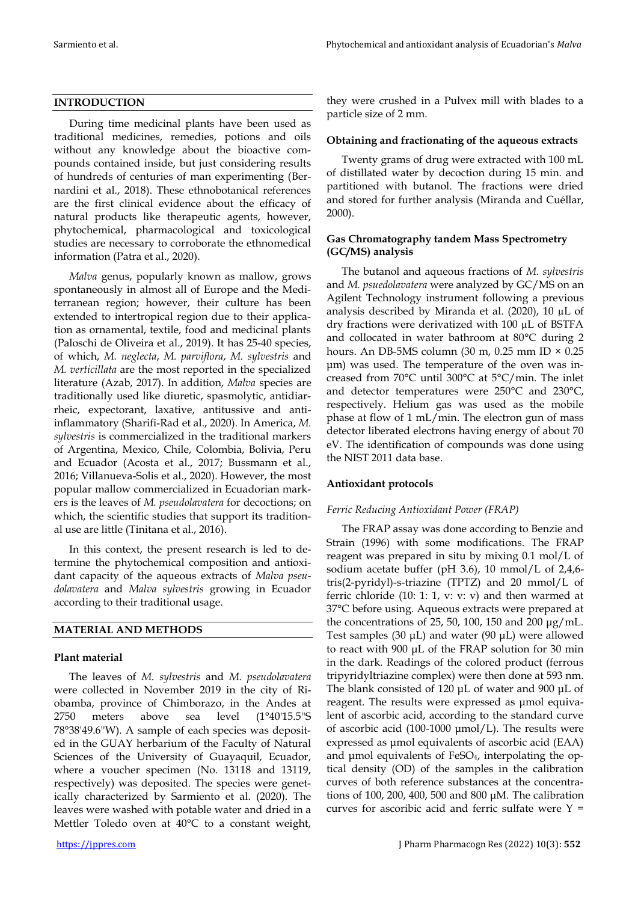### **INTRODUCTION**

During time medicinal plants have been used as traditional medicines, remedies, potions and oils without any knowledge about the bioactive compounds contained inside, but just considering results of hundreds of centuries of man experimenting (Bernardini et al., 2018). These ethnobotanical references are the first clinical evidence about the efficacy of natural products like therapeutic agents, however, phytochemical, pharmacological and toxicological studies are necessary to corroborate the ethnomedical information (Patra et al., 2020).

*Malva* genus, popularly known as mallow, grows spontaneously in almost all of Europe and the Mediterranean region; however, their culture has been extended to intertropical region due to their application as ornamental, textile, food and medicinal plants (Paloschi de Oliveira et al., 2019). It has 25-40 species, of which, *M. neglecta*, *M. parviflora*, *M. sylvestris* and *M. verticillata* are the most reported in the specialized literature (Azab, 2017). In addition, *Malva* species are traditionally used like diuretic, spasmolytic, antidiarrheic, expectorant, laxative, antitussive and antiinflammatory (Sharifi‐Rad et al., 2020). In America, *M. sylvestris* is commercialized in the traditional markers of Argentina, Mexico, Chile, Colombia, Bolivia, Peru and Ecuador (Acosta et al., 2017; Bussmann et al., 2016; Villanueva-Solis et al., 2020). However, the most popular mallow commercialized in Ecuadorian markers is the leaves of *M. pseudolavatera* for decoctions; on which, the scientific studies that support its traditional use are little (Tinitana et al., 2016).

In this context, the present research is led to determine the phytochemical composition and antioxidant capacity of the aqueous extracts of *Malva pseudolavatera* and *Malva sylvestris* growing in Ecuador according to their traditional usage.

# **MATERIAL AND METHODS**

### **Plant material**

The leaves of *M. sylvestris* and *M. pseudolavatera* were collected in November 2019 in the city of Riobamba, province of Chimborazo, in the Andes at 2750 meters above sea level (1°40'15.5''S 78°38'49.6''W). A sample of each species was deposited in the GUAY herbarium of the Faculty of Natural Sciences of the University of Guayaquil, Ecuador, where a voucher specimen (No. 13118 and 13119, respectively) was deposited. The species were genetically characterized by Sarmiento et al. (2020). The leaves were washed with potable water and dried in a Mettler Toledo oven at 40°C to a constant weight,

they were crushed in a Pulvex mill with blades to a particle size of 2 mm.

### **Obtaining and fractionating of the aqueous extracts**

Twenty grams of drug were extracted with 100 mL of distillated water by decoction during 15 min. and partitioned with butanol. The fractions were dried and stored for further analysis (Miranda and Cuéllar, 2000).

# **Gas Chromatography tandem Mass Spectrometry (GC/MS) analysis**

The butanol and aqueous fractions of *M. sylvestris* and *M. psuedolavatera* were analyzed by GC/MS on an Agilent Technology instrument following a previous analysis described by Miranda et al. (2020), 10 µL of dry fractions were derivatized with 100 µL of BSTFA and collocated in water bathroom at 80°C during 2 hours. An DB-5MS column (30 m, 0.25 mm ID  $\times$  0.25 μm) was used. The temperature of the oven was increased from 70°C until 300°C at 5°C/min. The inlet and detector temperatures were 250°C and 230°C, respectively. Helium gas was used as the mobile phase at flow of 1 mL/min. The electron gun of mass detector liberated electrons having energy of about 70 eV. The identification of compounds was done using the NIST 2011 data base.

# **Antioxidant protocols**

# *Ferric Reducing Antioxidant Power (FRAP)*

The FRAP assay was done according to Benzie and Strain (1996) with some modifications. The FRAP reagent was prepared in situ by mixing 0.1 mol/L of sodium acetate buffer (pH 3.6), 10 mmol/L of 2,4,6 tris(2-pyridyl)-s-triazine (TPTZ) and 20 mmol/L of ferric chloride (10: 1: 1, v: v: v) and then warmed at 37°C before using. Aqueous extracts were prepared at the concentrations of 25, 50, 100, 150 and 200 μg/mL. Test samples (30 μL) and water (90 μL) were allowed to react with 900 μL of the FRAP solution for 30 min in the dark. Readings of the colored product (ferrous tripyridyltriazine complex) were then done at 593 nm. The blank consisted of 120 μL of water and 900 μL of reagent. The results were expressed as μmol equivalent of ascorbic acid, according to the standard curve of ascorbic acid (100-1000 μmol/L). The results were expressed as μmol equivalents of ascorbic acid (EAA) and μmol equivalents of FeSO4, interpolating the optical density (OD) of the samples in the calibration curves of both reference substances at the concentrations of 100, 200, 400, 500 and 800 μM. The calibration curves for ascoribic acid and ferric sulfate were  $Y =$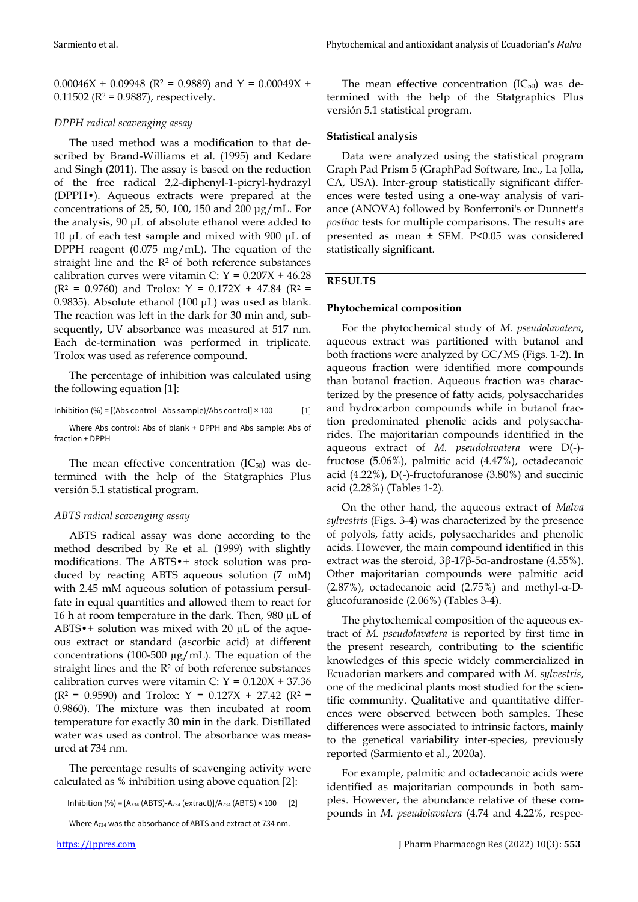$0.00046X + 0.09948$  (R<sup>2</sup> = 0.9889) and Y = 0.00049X + 0.11502 ( $R^2$  = 0.9887), respectively.

#### *DPPH radical scavenging assay*

The used method was a modification to that described by Brand-Williams et al. (1995) and Kedare and Singh (2011). The assay is based on the reduction of the free radical 2,2-diphenyl-1-picryl-hydrazyl (DPPH•). Aqueous extracts were prepared at the concentrations of 25, 50, 100, 150 and 200 μg/mL. For the analysis, 90 μL of absolute ethanol were added to 10 μL of each test sample and mixed with 900 μL of DPPH reagent (0.075 mg/mL). The equation of the straight line and the  $R<sup>2</sup>$  of both reference substances calibration curves were vitamin C:  $Y = 0.207X + 46.28$  $(R^2 = 0.9760)$  and Trolox: Y = 0.172X + 47.84 (R<sup>2</sup> = 0.9835). Absolute ethanol (100 μL) was used as blank. The reaction was left in the dark for 30 min and, subsequently, UV absorbance was measured at 517 nm. Each de-termination was performed in triplicate. Trolox was used as reference compound.

The percentage of inhibition was calculated using the following equation [1]:

Inhibition  $(\% ) = [(\text{Abs control - Abs sample})/\text{Abs control}] \times 100$  [1]

Where Abs control: Abs of blank + DPPH and Abs sample: Abs of fraction + DPPH

The mean effective concentration  $(IC_{50})$  was determined with the help of the Statgraphics Plus versión 5.1 statistical program.

#### *ABTS radical scavenging assay*

ABTS radical assay was done according to the method described by Re et al. (1999) with slightly modifications. The ABTS•+ stock solution was produced by reacting ABTS aqueous solution (7 mM) with 2.45 mM aqueous solution of potassium persulfate in equal quantities and allowed them to react for 16 h at room temperature in the dark. Then, 980 µL of ABTS $\bullet$ + solution was mixed with 20  $\mu$ L of the aqueous extract or standard (ascorbic acid) at different concentrations (100-500  $\mu$ g/mL). The equation of the straight lines and the  $R<sup>2</sup>$  of both reference substances calibration curves were vitamin C:  $Y = 0.120X + 37.36$  $(R^2 = 0.9590)$  and Trolox: Y = 0.127X + 27.42 (R<sup>2</sup> = 0.9860). The mixture was then incubated at room temperature for exactly 30 min in the dark. Distillated water was used as control. The absorbance was measured at 734 nm.

The percentage results of scavenging activity were calculated as % inhibition using above equation [2]:

Inhibition (%) =  $[A_{734} (ABTS)$ - $A_{734} (extract)]/A_{734} (ABTS) \times 100$  [2]

Where A<sup>734</sup> was the absorbance of ABTS and extract at 734 nm.

The mean effective concentration  $(IC_{50})$  was determined with the help of the Statgraphics Plus versión 5.1 statistical program.

### **Statistical analysis**

Data were analyzed using the statistical program Graph Pad Prism 5 (GraphPad Software, Inc., La Jolla, CA, USA). Inter-group statistically significant differences were tested using a one-way analysis of variance (ANOVA) followed by Bonferroni's or Dunnett's *posthoc* tests for multiple comparisons. The results are presented as mean ± SEM. P*<*0.05 was considered statistically significant.

# **RESULTS**

#### **Phytochemical composition**

For the phytochemical study of *M. pseudolavatera*, aqueous extract was partitioned with butanol and both fractions were analyzed by GC/MS (Figs. 1-2). In aqueous fraction were identified more compounds than butanol fraction. Aqueous fraction was characterized by the presence of fatty acids, polysaccharides and hydrocarbon compounds while in butanol fraction predominated phenolic acids and polysaccharides. The majoritarian compounds identified in the aqueous extract of *M. pseudolavatera* were D(-) fructose (5.06%), palmitic acid (4.47%), octadecanoic acid (4.22%), D(-)-fructofuranose (3.80%) and succinic acid (2.28%) (Tables 1-2).

On the other hand, the aqueous extract of *Malva sylvestris* (Figs. 3-4) was characterized by the presence of polyols, fatty acids, polysaccharides and phenolic acids. However, the main compound identified in this extract was the steroid,  $3β$ -17β-5α-androstane (4.55%). Other majoritarian compounds were palmitic acid (2.87%), octadecanoic acid (2.75%) and methyl-α-Dglucofuranoside (2.06%) (Tables 3-4).

The phytochemical composition of the aqueous extract of *M. pseudolavatera* is reported by first time in the present research, contributing to the scientific knowledges of this specie widely commercialized in Ecuadorian markers and compared with *M. sylvestris*, one of the medicinal plants most studied for the scientific community. Qualitative and quantitative differences were observed between both samples. These differences were associated to intrinsic factors, mainly to the genetical variability inter-species, previously reported (Sarmiento et al., 2020a).

For example, palmitic and octadecanoic acids were identified as majoritarian compounds in both samples. However, the abundance relative of these compounds in *M. pseudolavatera* (4.74 and 4.22%, respec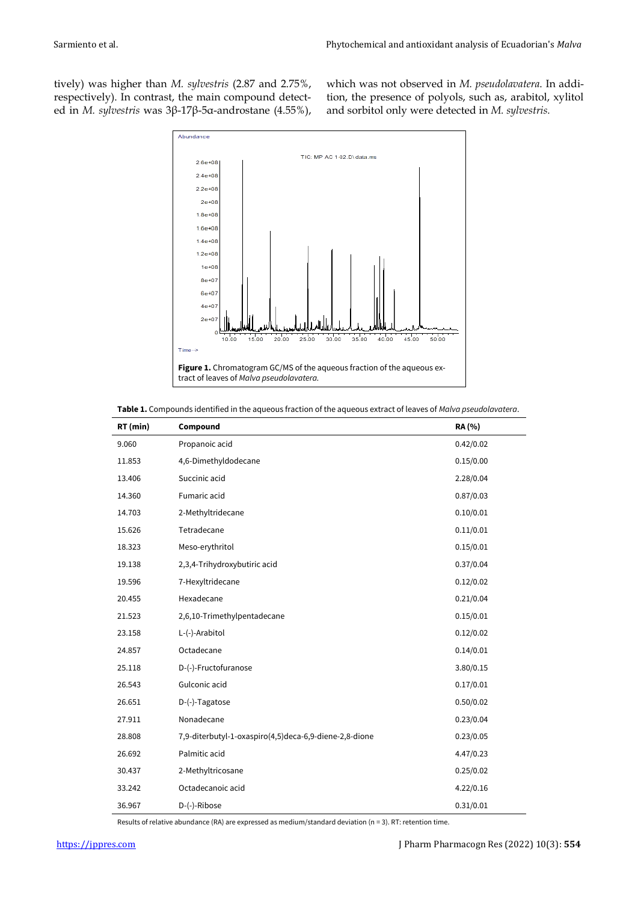tively) was higher than *M. sylvestris* (2.87 and 2.75%, respectively). In contrast, the main compound detected in *M. sylvestris* was 3β-17β-5α-androstane (4.55%), which was not observed in *M. pseudolavatera*. In addition, the presence of polyols, such as, arabitol, xylitol and sorbitol only were detected in *M. sylvestris.*



| Table 1. Compounds identified in the aqueous fraction of the aqueous extract of leaves of Malva pseudolavatera. |
|-----------------------------------------------------------------------------------------------------------------|
|-----------------------------------------------------------------------------------------------------------------|

| RT (min) | Compound                                               | RA (%)    |
|----------|--------------------------------------------------------|-----------|
| 9.060    | Propanoic acid                                         | 0.42/0.02 |
| 11.853   | 4,6-Dimethyldodecane                                   | 0.15/0.00 |
| 13.406   | Succinic acid                                          | 2.28/0.04 |
| 14.360   | Fumaric acid                                           | 0.87/0.03 |
| 14.703   | 2-Methyltridecane                                      | 0.10/0.01 |
| 15.626   | Tetradecane                                            | 0.11/0.01 |
| 18.323   | Meso-erythritol                                        | 0.15/0.01 |
| 19.138   | 2,3,4-Trihydroxybutiric acid                           | 0.37/0.04 |
| 19.596   | 7-Hexyltridecane                                       | 0.12/0.02 |
| 20.455   | Hexadecane                                             | 0.21/0.04 |
| 21.523   | 2,6,10-Trimethylpentadecane                            | 0.15/0.01 |
| 23.158   | L-(-)-Arabitol                                         | 0.12/0.02 |
| 24.857   | Octadecane                                             | 0.14/0.01 |
| 25.118   | D-(-)-Fructofuranose                                   | 3.80/0.15 |
| 26.543   | Gulconic acid                                          | 0.17/0.01 |
| 26.651   | D-(-)-Tagatose                                         | 0.50/0.02 |
| 27.911   | Nonadecane                                             | 0.23/0.04 |
| 28.808   | 7,9-diterbutyl-1-oxaspiro(4,5)deca-6,9-diene-2,8-dione | 0.23/0.05 |
| 26.692   | Palmitic acid                                          | 4.47/0.23 |
| 30.437   | 2-Methyltricosane                                      | 0.25/0.02 |
| 33.242   | Octadecanoic acid                                      | 4.22/0.16 |
| 36.967   | D-(-)-Ribose                                           | 0.31/0.01 |

Results of relative abundance (RA) are expressed as medium/standard deviation (n = 3). RT: retention time.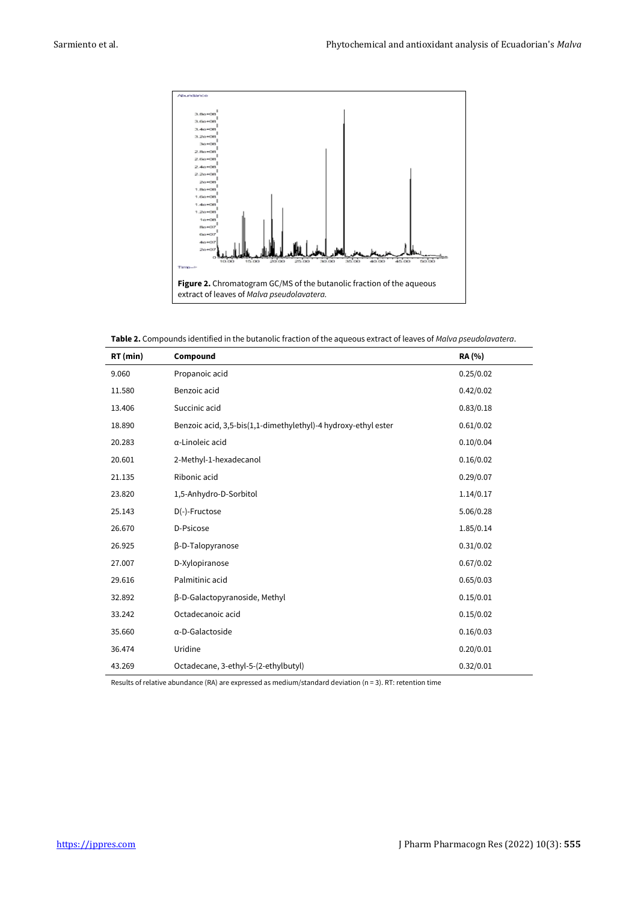

**Table 2.** Compounds identified in the butanolic fraction of the aqueous extract of leaves of *Malva pseudolavatera*.

| RT (min) | Compound                                                       | <b>RA</b> (%) |
|----------|----------------------------------------------------------------|---------------|
| 9.060    | Propanoic acid                                                 | 0.25/0.02     |
| 11.580   | Benzoic acid                                                   | 0.42/0.02     |
| 13.406   | Succinic acid                                                  | 0.83/0.18     |
| 18.890   | Benzoic acid, 3,5-bis(1,1-dimethylethyl)-4 hydroxy-ethyl ester | 0.61/0.02     |
| 20.283   | $\alpha$ -Linoleic acid                                        | 0.10/0.04     |
| 20.601   | 2-Methyl-1-hexadecanol                                         | 0.16/0.02     |
| 21.135   | Ribonic acid                                                   | 0.29/0.07     |
| 23.820   | 1,5-Anhydro-D-Sorbitol                                         | 1.14/0.17     |
| 25.143   | $D(-)$ -Fructose                                               | 5.06/0.28     |
| 26.670   | D-Psicose                                                      | 1.85/0.14     |
| 26.925   | β-D-Talopyranose                                               | 0.31/0.02     |
| 27.007   | D-Xylopiranose                                                 | 0.67/0.02     |
| 29.616   | Palmitinic acid                                                | 0.65/0.03     |
| 32.892   | β-D-Galactopyranoside, Methyl                                  | 0.15/0.01     |
| 33.242   | Octadecanoic acid                                              | 0.15/0.02     |
| 35.660   | α-D-Galactoside                                                | 0.16/0.03     |
| 36.474   | Uridine                                                        | 0.20/0.01     |
| 43.269   | Octadecane, 3-ethyl-5-(2-ethylbutyl)                           | 0.32/0.01     |

Results of relative abundance (RA) are expressed as medium/standard deviation (n = 3). RT: retention time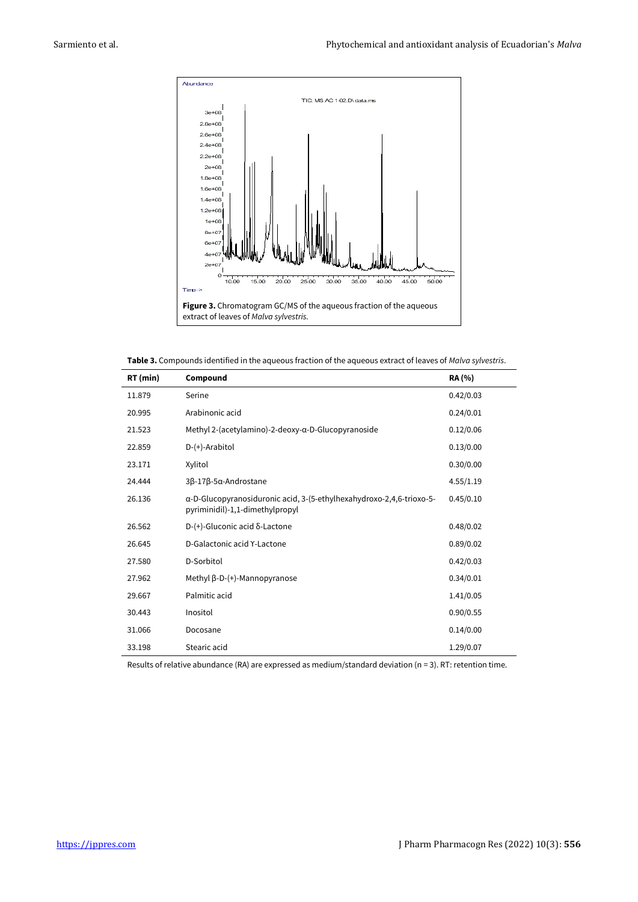

**Table 3.** Compounds identified in the aqueous fraction of the aqueous extract of leaves of *Malva sylvestris*.

| RT (min) | Compound                                                                                                | <b>RA</b> (%) |
|----------|---------------------------------------------------------------------------------------------------------|---------------|
| 11.879   | Serine                                                                                                  | 0.42/0.03     |
| 20.995   | Arabinonic acid                                                                                         | 0.24/0.01     |
| 21.523   | Methyl 2-(acetylamino)-2-deoxy-α-D-Glucopyranoside                                                      | 0.12/0.06     |
| 22.859   | $D-(+)$ -Arabitol                                                                                       | 0.13/0.00     |
| 23.171   | Xylitol                                                                                                 | 0.30/0.00     |
| 24.444   | 3β-17β-5α-Androstane                                                                                    | 4.55/1.19     |
| 26.136   | α-D-Glucopyranosiduronic acid, 3-(5-ethylhexahydroxo-2,4,6-trioxo-5-<br>pyriminidil)-1,1-dimethylpropyl | 0.45/0.10     |
| 26.562   | $D-(+)$ -Gluconic acid $\delta$ -Lactone                                                                | 0.48/0.02     |
| 26.645   | D-Galactonic acid Y-Lactone                                                                             | 0.89/0.02     |
| 27.580   | D-Sorbitol                                                                                              | 0.42/0.03     |
| 27.962   | Methyl $\beta$ -D- $(+)$ -Mannopyranose                                                                 | 0.34/0.01     |
| 29.667   | Palmitic acid                                                                                           | 1.41/0.05     |
| 30.443   | Inositol                                                                                                | 0.90/0.55     |
| 31.066   | Docosane                                                                                                | 0.14/0.00     |
| 33.198   | Stearic acid                                                                                            | 1.29/0.07     |

Results of relative abundance (RA) are expressed as medium/standard deviation (n = 3). RT: retention time.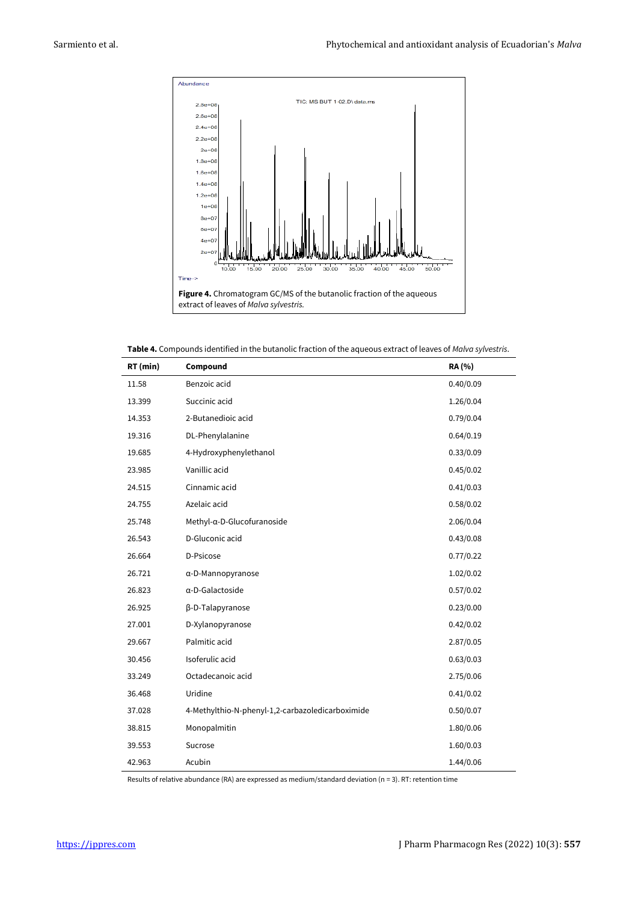

**Table 4.** Compounds identified in the butanolic fraction of the aqueous extract of leaves of *Malva sylvestris*.

| RT (min) | Compound                                         | RA (%)    |
|----------|--------------------------------------------------|-----------|
| 11.58    | Benzoic acid                                     | 0.40/0.09 |
| 13.399   | Succinic acid                                    | 1.26/0.04 |
| 14.353   | 2-Butanedioic acid                               | 0.79/0.04 |
| 19.316   | DL-Phenylalanine                                 | 0.64/0.19 |
| 19.685   | 4-Hydroxyphenylethanol                           | 0.33/0.09 |
| 23.985   | Vanillic acid                                    | 0.45/0.02 |
| 24.515   | Cinnamic acid                                    | 0.41/0.03 |
| 24.755   | Azelaic acid                                     | 0.58/0.02 |
| 25.748   | Methyl-α-D-Glucofuranoside                       | 2.06/0.04 |
| 26.543   | D-Gluconic acid                                  | 0.43/0.08 |
| 26.664   | D-Psicose                                        | 0.77/0.22 |
| 26.721   | $\alpha$ -D-Mannopyranose                        | 1.02/0.02 |
| 26.823   | α-D-Galactoside                                  | 0.57/0.02 |
| 26.925   | β-D-Talapyranose                                 | 0.23/0.00 |
| 27.001   | D-Xylanopyranose                                 | 0.42/0.02 |
| 29.667   | Palmitic acid                                    | 2.87/0.05 |
| 30.456   | Isoferulic acid                                  | 0.63/0.03 |
| 33.249   | Octadecanoic acid                                | 2.75/0.06 |
| 36.468   | Uridine                                          | 0.41/0.02 |
| 37.028   | 4-Methylthio-N-phenyl-1,2-carbazoledicarboximide | 0.50/0.07 |
| 38.815   | Monopalmitin                                     | 1.80/0.06 |
| 39.553   | Sucrose                                          | 1.60/0.03 |
| 42.963   | Acubin                                           | 1.44/0.06 |

Results of relative abundance (RA) are expressed as medium/standard deviation (n = 3). RT: retention time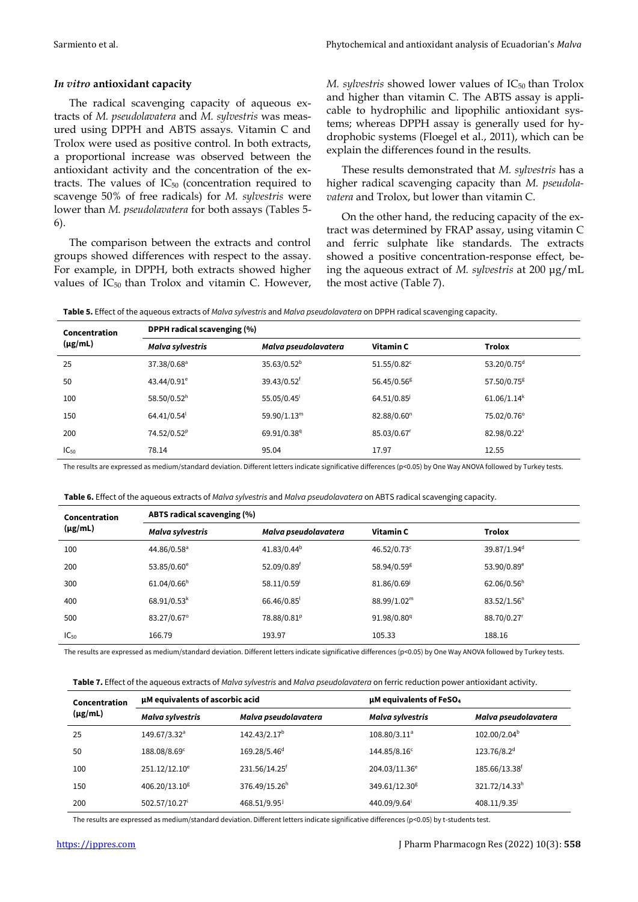#### *In vitro* **antioxidant capacity**

The radical scavenging capacity of aqueous extracts of *M. pseudolavatera* and *M. sylvestris* was measured using DPPH and ABTS assays. Vitamin C and Trolox were used as positive control. In both extracts, a proportional increase was observed between the antioxidant activity and the concentration of the extracts. The values of  $IC_{50}$  (concentration required to scavenge 50% of free radicals) for *M. sylvestris* were lower than *M. pseudolavatera* for both assays (Tables 5- 6).

The comparison between the extracts and control groups showed differences with respect to the assay. For example, in DPPH, both extracts showed higher values of  $IC_{50}$  than Trolox and vitamin C. However, *M. sylvestris* showed lower values of IC<sub>50</sub> than Trolox and higher than vitamin C. The ABTS assay is applicable to hydrophilic and lipophilic antioxidant systems; whereas DPPH assay is generally used for hydrophobic systems (Floegel et al., 2011), which can be explain the differences found in the results.

These results demonstrated that *M. sylvestris* has a higher radical scavenging capacity than *M. pseudolavatera* and Trolox, but lower than vitamin C.

On the other hand, the reducing capacity of the extract was determined by FRAP assay, using vitamin C and ferric sulphate like standards. The extracts showed a positive concentration-response effect, being the aqueous extract of *M. sylvestris* at 200 μg/mL the most active (Table 7).

**Table 5.** Effect of the aqueous extracts of *Malva sylvestris* and *Malva pseudolavatera* on DPPH radical scavenging capacity.

| Concentration | DPPH radical scavenging (%) |                         |                         |                         |  |  |
|---------------|-----------------------------|-------------------------|-------------------------|-------------------------|--|--|
| $(\mu g/mL)$  | Malva sylvestris            | Malva pseudolavatera    | Vitamin C               | Trolox                  |  |  |
| 25            | 37.38/0.68 <sup>a</sup>     | 35.63/0.52 <sup>b</sup> | $51.55/0.82^c$          | 53.20/0.75 <sup>d</sup> |  |  |
| 50            | 43.44/0.91 <sup>e</sup>     | 39.43/0.52 <sup>f</sup> | 56.45/0.56 <sup>g</sup> | 57.50/0.75 <sup>g</sup> |  |  |
| 100           | 58.50/0.52 <sup>h</sup>     | 55.05/0.45              | 64.51/0.85              | 61.06/1.14 <sup>k</sup> |  |  |
| 150           | 64.41/0.54                  | 59.90/1.13 <sup>m</sup> | 82.88/0.60 <sup>n</sup> | 75.02/0.76°             |  |  |
| 200           | 74.52/0.52 <sup>p</sup>     | 69.91/0.38 <sup>q</sup> | 85.03/0.67              | 82.98/0.22 <sup>s</sup> |  |  |
| $IC_{50}$     | 78.14                       | 95.04                   | 17.97                   | 12.55                   |  |  |

The results are expressed as medium/standard deviation. Different letters indicate significative differences (p<0.05) by One Way ANOVA followed by Turkey tests.

| Table 6. Effect of the aqueous extracts of Malva sylvestris and Malva pseudolavatera on ABTS radical scavenging capacity. |  |  |
|---------------------------------------------------------------------------------------------------------------------------|--|--|
|                                                                                                                           |  |  |

| Concentration | ABTS radical scavenging (%) |                         |                         |                         |  |  |
|---------------|-----------------------------|-------------------------|-------------------------|-------------------------|--|--|
| $(\mu g/mL)$  | Malva sylvestris            | Malva pseudolavatera    | Vitamin C               | <b>Trolox</b>           |  |  |
| 100           | 44.86/0.58 <sup>a</sup>     | 41.83/0.44 <sup>b</sup> | $46.52/0.73^c$          | 39.87/1.94 <sup>d</sup> |  |  |
| 200           | 53.85/0.60 <sup>e</sup>     | 52.09/0.89 <sup>f</sup> | 58.94/0.59 <sup>g</sup> | 53.90/0.89 <sup>e</sup> |  |  |
| 300           | 61.04/0.66 <sup>h</sup>     | 58.11/0.59 <sup>i</sup> | 81.86/0.69              | 62.06/0.56 <sup>h</sup> |  |  |
| 400           | $68.91/0.53^{k}$            | 66.46/0.85              | 88.99/1.02 <sup>m</sup> | 83.52/1.56 <sup>n</sup> |  |  |
| 500           | 83.27/0.67°                 | 78.88/0.81 <sup>P</sup> | 91.98/0.80 <sup>q</sup> | 88.70/0.27              |  |  |
| $IC_{50}$     | 166.79                      | 193.97                  | 105.33                  | 188.16                  |  |  |

The results are expressed as medium/standard deviation. Different letters indicate significative differences (p<0.05) by One Way ANOVA followed by Turkey tests.

**Table 7.** Effect of the aqueous extracts of *Malva sylvestris* and *Malva pseudolavatera* on ferric reduction power antioxidant activity.

| Concentration<br>$(\mu g/mL)$ | µM equivalents of ascorbic acid |                           | µM equivalents of FeSO <sub>4</sub> |                           |  |
|-------------------------------|---------------------------------|---------------------------|-------------------------------------|---------------------------|--|
|                               | Malva sylvestris                | Malva pseudolavatera      | Malva sylvestris                    | Malva pseudolavatera      |  |
| 25                            | 149.67/3.32 <sup>a</sup>        | 142.43/2.17 <sup>b</sup>  | $108.80/3.11^a$                     | 102.00/2.04 <sup>b</sup>  |  |
| 50                            | 188.08/8.69 <sup>c</sup>        | 169.28/5.46 <sup>d</sup>  | 144.85/8.16 <sup>c</sup>            | 123.76/8.2 <sup>d</sup>   |  |
| 100                           | 251.12/12.10 <sup>e</sup>       | 231.56/14.25 <sup>f</sup> | 204.03/11.36 <sup>e</sup>           | 185.66/13.38 <sup>f</sup> |  |
| 150                           | 406.20/13.10 <sup>g</sup>       | 376.49/15.26h             | 349.61/12.30 <sup>g</sup>           | 321.72/14.33h             |  |
| 200                           | 502.57/10.27 <sup>i</sup>       | 468.51/9.95               | 440.09/9.64                         | 408.11/9.35               |  |

The results are expressed as medium/standard deviation. Different letters indicate significative differences (p<0.05) by t-students test.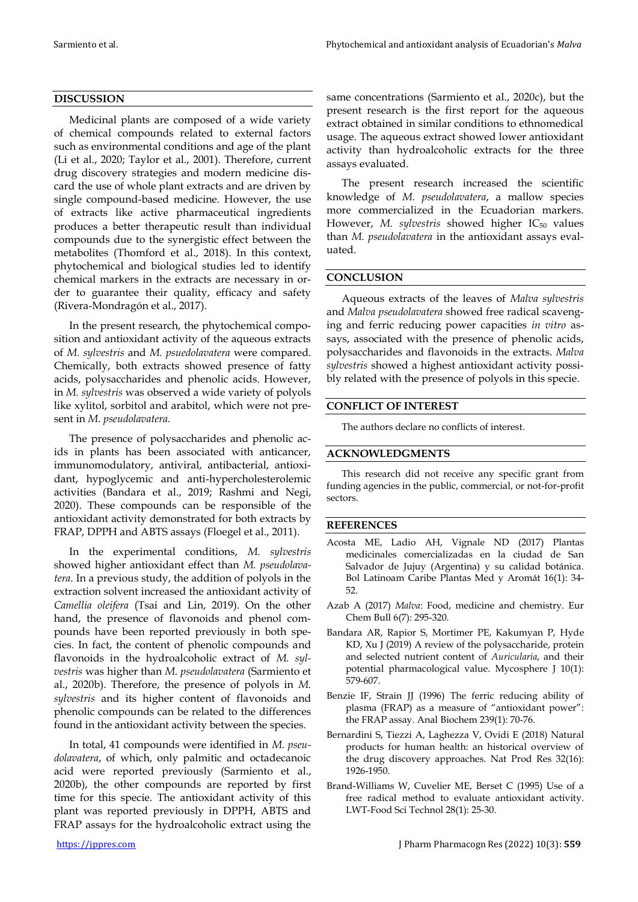# **DISCUSSION**

Medicinal plants are composed of a wide variety of chemical compounds related to external factors such as environmental conditions and age of the plant (Li et al., 2020; Taylor et al., 2001). Therefore, current drug discovery strategies and modern medicine discard the use of whole plant extracts and are driven by single compound-based medicine. However, the use of extracts like active pharmaceutical ingredients produces a better therapeutic result than individual compounds due to the synergistic effect between the metabolites (Thomford et al., 2018). In this context, phytochemical and biological studies led to identify chemical markers in the extracts are necessary in order to guarantee their quality, efficacy and safety (Rivera-Mondragón et al., 2017).

In the present research, the phytochemical composition and antioxidant activity of the aqueous extracts of *M. sylvestris* and *M. psuedolavatera* were compared. Chemically, both extracts showed presence of fatty acids, polysaccharides and phenolic acids. However, in *M. sylvestris* was observed a wide variety of polyols like xylitol, sorbitol and arabitol, which were not present in *M. pseudolavatera.*

The presence of polysaccharides and phenolic acids in plants has been associated with anticancer, immunomodulatory, antiviral, antibacterial, antioxidant, hypoglycemic and anti-hypercholesterolemic activities (Bandara et al., 2019; Rashmi and Negi, 2020). These compounds can be responsible of the antioxidant activity demonstrated for both extracts by FRAP, DPPH and ABTS assays (Floegel et al., 2011).

In the experimental conditions, *M. sylvestris* showed higher antioxidant effect than *M. pseudolavatera*. In a previous study, the addition of polyols in the extraction solvent increased the antioxidant activity of *Camellia oleifera* (Tsai and Lin, 2019). On the other hand, the presence of flavonoids and phenol compounds have been reported previously in both species. In fact, the content of phenolic compounds and flavonoids in the hydroalcoholic extract of *M. sylvestris* was higher than *M. pseudolavatera* (Sarmiento et al., 2020b). Therefore, the presence of polyols in *M. sylvestris* and its higher content of flavonoids and phenolic compounds can be related to the differences found in the antioxidant activity between the species.

In total, 41 compounds were identified in *M. pseudolavatera*, of which, only palmitic and octadecanoic acid were reported previously (Sarmiento et al., 2020b), the other compounds are reported by first time for this specie. The antioxidant activity of this plant was reported previously in DPPH, ABTS and FRAP assays for the hydroalcoholic extract using the same concentrations (Sarmiento et al., 2020c), but the present research is the first report for the aqueous extract obtained in similar conditions to ethnomedical usage. The aqueous extract showed lower antioxidant activity than hydroalcoholic extracts for the three assays evaluated.

The present research increased the scientific knowledge of *M. pseudolavatera*, a mallow species more commercialized in the Ecuadorian markers. However, M. *sylvestris* showed higher IC<sub>50</sub> values than *M. pseudolavatera* in the antioxidant assays evaluated.

# **CONCLUSION**

Aqueous extracts of the leaves of *Malva sylvestris* and *Malva pseudolavatera* showed free radical scavenging and ferric reducing power capacities *in vitro* assays, associated with the presence of phenolic acids, polysaccharides and flavonoids in the extracts. *Malva sylvestris* showed a highest antioxidant activity possibly related with the presence of polyols in this specie.

# **CONFLICT OF INTEREST**

The authors declare no conflicts of interest.

### **ACKNOWLEDGMENTS**

This research did not receive any specific grant from funding agencies in the public, commercial, or not-for-profit sectors.

### **REFERENCES**

- Acosta ME, Ladio AH, Vignale ND (2017) Plantas medicinales comercializadas en la ciudad de San Salvador de Jujuy (Argentina) y su calidad botánica. Bol Latinoam Caribe Plantas Med y Aromát 16(1): 34- 52.
- Azab A (2017) *Malva*: Food, medicine and chemistry. Eur Chem Bull 6(7): 295-320.
- Bandara AR, Rapior S, Mortimer PE, Kakumyan P, Hyde KD, Xu J (2019) A review of the polysaccharide, protein and selected nutrient content of *Auricularia*, and their potential pharmacological value. Mycosphere J 10(1): 579-607.
- Benzie IF, Strain JJ (1996) The ferric reducing ability of plasma (FRAP) as a measure of "antioxidant power": the FRAP assay. Anal Biochem 239(1): 70-76.
- Bernardini S, Tiezzi A, Laghezza V, Ovidi E (2018) Natural products for human health: an historical overview of the drug discovery approaches. Nat Prod Res 32(16): 1926-1950.
- Brand-Williams W, Cuvelier ME, Berset C (1995) Use of a free radical method to evaluate antioxidant activity. LWT-Food Sci Technol 28(1): 25-30.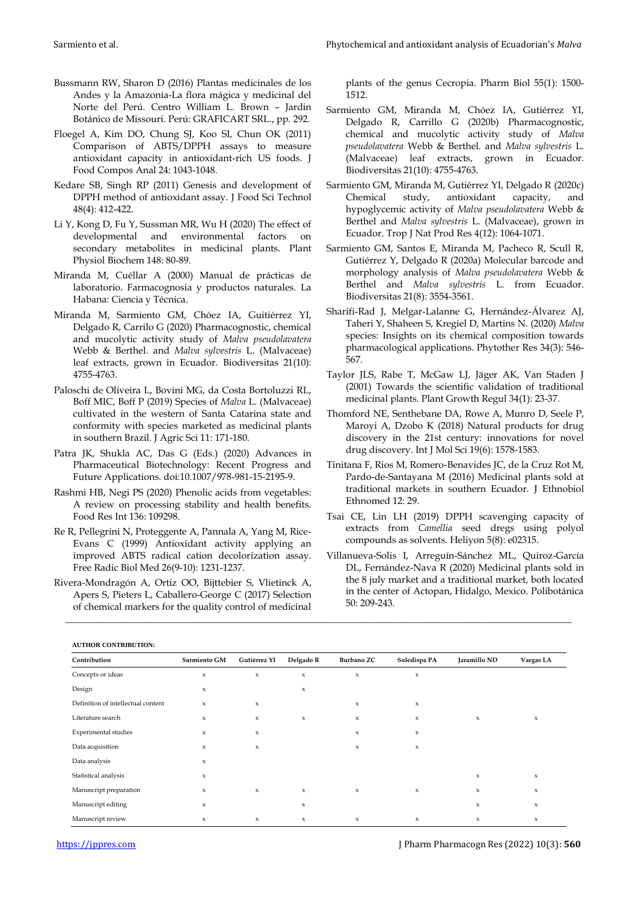- Bussmann RW, Sharon D (2016) Plantas medicinales de los Andes y la Amazonía-La flora mágica y medicinal del Norte del Perú. Centro William L. Brown – Jardin Botánico de Missouri. Perú: GRAFICART SRL., pp. 292.
- Floegel A, Kim DO, Chung SJ, Koo SI, Chun OK (2011) Comparison of ABTS/DPPH assays to measure antioxidant capacity in antioxidant-rich US foods. J Food Compos Anal 24: 1043-1048.
- Kedare SB, Singh RP (2011) Genesis and development of DPPH method of antioxidant assay. J Food Sci Technol 48(4): 412-422.
- Li Y, Kong D, Fu Y, Sussman MR, Wu H (2020) The effect of developmental and environmental factors on secondary metabolites in medicinal plants. Plant Physiol Biochem 148: 80-89.
- Miranda M, Cuéllar A (2000) Manual de prácticas de laboratorio. Farmacognosia y productos naturales. La Habana: Ciencia y Técnica.
- Miranda M, Sarmiento GM, Chóez IA, Guitiérrez YI, Delgado R, Carrilo G (2020) Pharmacognostic, chemical and mucolytic activity study of *Malva pseudolavatera* Webb & Berthel. and *Malva sylvestris* L. (Malvaceae) leaf extracts, grown in Ecuador. Biodiversitas 21(10): 4755-4763.
- Paloschi de Oliveira L, Bovini MG, da Costa Bortoluzzi RL, Boff MIC, Boff P (2019) Species of *Malva* L. (Malvaceae) cultivated in the western of Santa Catarina state and conformity with species marketed as medicinal plants in southern Brazil. J Agric Sci 11: 171-180.
- Patra JK, Shukla AC, Das G (Eds.) (2020) Advances in Pharmaceutical Biotechnology: Recent Progress and Future Applications. doi:10.1007/978-981-15-2195-9.
- Rashmi HB, Negi PS (2020) Phenolic acids from vegetables: A review on processing stability and health benefits. Food Res Int 136: 109298.
- Re R, Pellegrini N, Proteggente A, Pannala A, Yang M, Rice-Evans C (1999) Antioxidant activity applying an improved ABTS radical cation decolorization assay. Free Radic Biol Med 26(9-10): 1231-1237.
- Rivera-Mondragón A, Ortíz OO, Bijttebier S, Vlietinck A, Apers S, Pieters L, Caballero-George C (2017) Selection of chemical markers for the quality control of medicinal

plants of the genus Cecropia. Pharm Biol 55(1): 1500- 1512.

- Sarmiento GM, Miranda M, Chóez IA, Gutiérrez YI, Delgado R, Carrillo G (2020b) Pharmacognostic, chemical and mucolytic activity study of *Malva pseudolavatera* Webb & Berthel. and *Malva sylvestris* L. (Malvaceae) leaf extracts, grown in Ecuador. Biodiversitas 21(10): 4755-4763.
- Sarmiento GM, Miranda M, Gutiérrez YI, Delgado R (2020c) Chemical study, antioxidant capacity, and hypoglycemic activity of *Malva pseudolavatera* Webb & Berthel and *Malva sylvestris* L. (Malvaceae), grown in Ecuador. Trop J Nat Prod Res 4(12): 1064-1071.
- Sarmiento GM, Santos E, Miranda M, Pacheco R, Scull R, Gutiérrez Y, Delgado R (2020a) Molecular barcode and morphology analysis of *Malva pseudolavatera* Webb & Berthel and *Malva sylvestris* L. from Ecuador. Biodiversitas 21(8): 3554-3561.
- Sharifi‐Rad J, Melgar‐Lalanne G, Hernández‐Álvarez AJ, Taheri Y, Shaheen S, Kregiel D, Martins N. (2020) *Malva* species: Insights on its chemical composition towards pharmacological applications. Phytother Res 34(3): 546- 567.
- Taylor JLS, Rabe T, McGaw LJ, Jäger AK, Van Staden J (2001) Towards the scientific validation of traditional medicinal plants. Plant Growth Regul 34(1): 23-37.
- Thomford NE, Senthebane DA, Rowe A, Munro D, Seele P, Maroyi A, Dzobo K (2018) Natural products for drug discovery in the 21st century: innovations for novel drug discovery. Int J Mol Sci 19(6): 1578-1583.
- Tinitana F, Rios M, Romero-Benavides JC, de la Cruz Rot M, Pardo-de-Santayana M (2016) Medicinal plants sold at traditional markets in southern Ecuador. J Ethnobiol Ethnomed 12: 29.
- Tsai CE, Lin LH (2019) DPPH scavenging capacity of extracts from *Camellia* seed dregs using polyol compounds as solvents. Heliyon 5(8): e02315.
- Villanueva-Solis I, Arreguín-Sánchez ML, Quiroz-García DL, Fernández-Nava R (2020) Medicinal plants sold in the 8 july market and a traditional market, both located in the center of Actopan, Hidalgo, Mexico. Polibotánica 50: 209-243.

**AUTHOR CONTRIBUTION:**

| AU HIUN CUNTNIDU HUN.              |                     |              |                           |                           |                     |                     |                           |
|------------------------------------|---------------------|--------------|---------------------------|---------------------------|---------------------|---------------------|---------------------------|
| Contribution                       | Sarmiento GM        | Gutiérrez YI | Delgado R                 | Burbano ZC                | Soledispa PA        | Jaramillo ND        | Vargas LA                 |
| Concepts or ideas                  | $\boldsymbol{\chi}$ | $\mathbf x$  | $\boldsymbol{\chi}$       | $\boldsymbol{\chi}$       | $\boldsymbol{\chi}$ |                     |                           |
| Design                             | $\mathsf x$         |              | $\boldsymbol{\mathsf{x}}$ |                           |                     |                     |                           |
| Definition of intellectual content | $\boldsymbol{\chi}$ | $\mathbf x$  |                           | $\boldsymbol{\mathsf{x}}$ | $\mathbf x$         |                     |                           |
| Literature search                  | $\boldsymbol{\chi}$ | $\mathbf x$  | $\boldsymbol{\chi}$       | $\mathsf x$               | $\mathsf x$         | $\mathsf X$         | $\boldsymbol{\mathsf{x}}$ |
| Experimental studies               | $\boldsymbol{\chi}$ | $\mathbf x$  |                           | x                         | $\mathbf x$         |                     |                           |
| Data acquisition                   | $\boldsymbol{\chi}$ | x            |                           | $\boldsymbol{\mathsf{x}}$ | $\mathsf x$         |                     |                           |
| Data analysis                      | $\boldsymbol{\chi}$ |              |                           |                           |                     |                     |                           |
| Statistical analysis               | $\boldsymbol{\chi}$ |              |                           |                           |                     | x                   | $\boldsymbol{\mathsf{x}}$ |
| Manuscript preparation             | $\boldsymbol{\chi}$ | $\mathbf x$  | $\boldsymbol{\chi}$       | $\mathsf x$               | x                   | $\boldsymbol{\chi}$ | $\boldsymbol{\chi}$       |
| Manuscript editing                 | $\boldsymbol{\chi}$ |              | x                         |                           |                     | $\mathbf x$         | $\mathbf x$               |
| Manuscript review                  | x                   | $\mathbf x$  | $\boldsymbol{\chi}$       | $\mathbf x$               | $\mathbf x$         | x                   | $\boldsymbol{\chi}$       |

\_\_\_\_\_\_\_\_\_\_\_\_\_\_\_\_\_\_\_\_\_\_\_\_\_\_\_\_\_\_\_\_\_\_\_\_\_\_\_\_\_\_\_\_\_\_\_\_\_\_\_\_\_\_\_\_\_\_\_\_\_\_\_\_\_\_\_\_\_\_\_\_\_\_\_\_\_\_\_\_\_\_\_\_\_\_\_\_\_\_\_\_\_\_\_\_\_\_\_\_\_\_\_\_\_